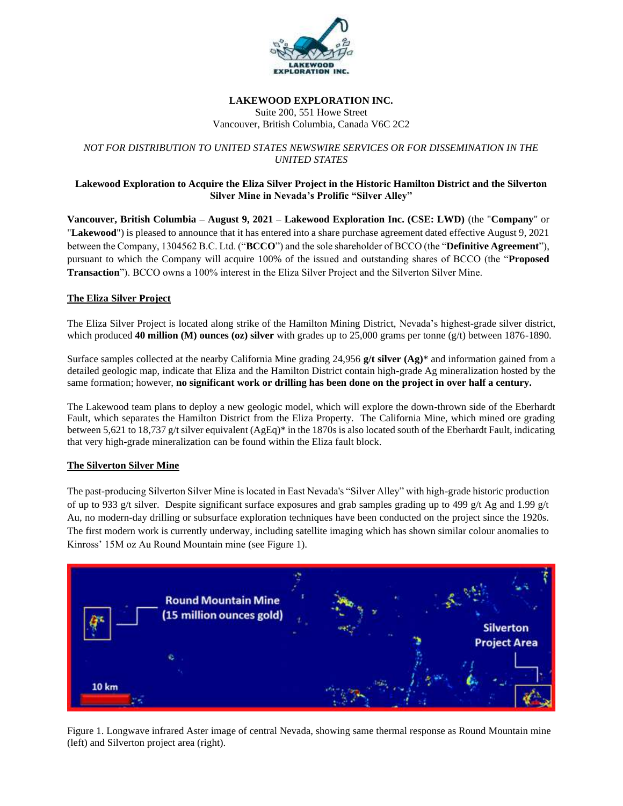

#### **LAKEWOOD EXPLORATION INC.** Suite 200, 551 Howe Street Vancouver, British Columbia, Canada V6C 2C2

# *NOT FOR DISTRIBUTION TO UNITED STATES NEWSWIRE SERVICES OR FOR DISSEMINATION IN THE UNITED STATES*

### **Lakewood Exploration to Acquire the Eliza Silver Project in the Historic Hamilton District and the Silverton Silver Mine in Nevada's Prolific "Silver Alley"**

**Vancouver, British Columbia – August 9, 2021 – Lakewood Exploration Inc. (CSE: LWD)** (the "**Company**" or "**Lakewood**") is pleased to announce that it has entered into a share purchase agreement dated effective August 9, 2021 between the Company, 1304562 B.C. Ltd. ("**BCCO**") and the sole shareholder of BCCO (the "**Definitive Agreement**"), pursuant to which the Company will acquire 100% of the issued and outstanding shares of BCCO (the "**Proposed Transaction**"). BCCO owns a 100% interest in the Eliza Silver Project and the Silverton Silver Mine.

## **The Eliza Silver Project**

The Eliza Silver Project is located along strike of the Hamilton Mining District, Nevada's highest-grade silver district, which produced **40 million (M) ounces (oz) silver** with grades up to 25,000 grams per tonne (g/t) between 1876-1890.

Surface samples collected at the nearby California Mine grading 24,956 **g/t silver (Ag)**\* and information gained from a detailed geologic map, indicate that Eliza and the Hamilton District contain high-grade Ag mineralization hosted by the same formation; however, **no significant work or drilling has been done on the project in over half a century.**

The Lakewood team plans to deploy a new geologic model, which will explore the down-thrown side of the Eberhardt Fault, which separates the Hamilton District from the Eliza Property. The California Mine, which mined ore grading between 5,621 to 18,737 g/t silver equivalent (AgEq)\* in the 1870s is also located south of the Eberhardt Fault, indicating that very high-grade mineralization can be found within the Eliza fault block.

### **The Silverton Silver Mine**

The past-producing Silverton Silver Mine is located in East Nevada's "Silver Alley" with high-grade historic production of up to 933 g/t silver. Despite significant surface exposures and grab samples grading up to 499 g/t Ag and 1.99 g/t Au, no modern-day drilling or subsurface exploration techniques have been conducted on the project since the 1920s. The first modern work is currently underway, including satellite imaging which has shown similar colour anomalies to Kinross' 15M oz Au Round Mountain mine (see Figure 1).



Figure 1. Longwave infrared Aster image of central Nevada, showing same thermal response as Round Mountain mine (left) and Silverton project area (right).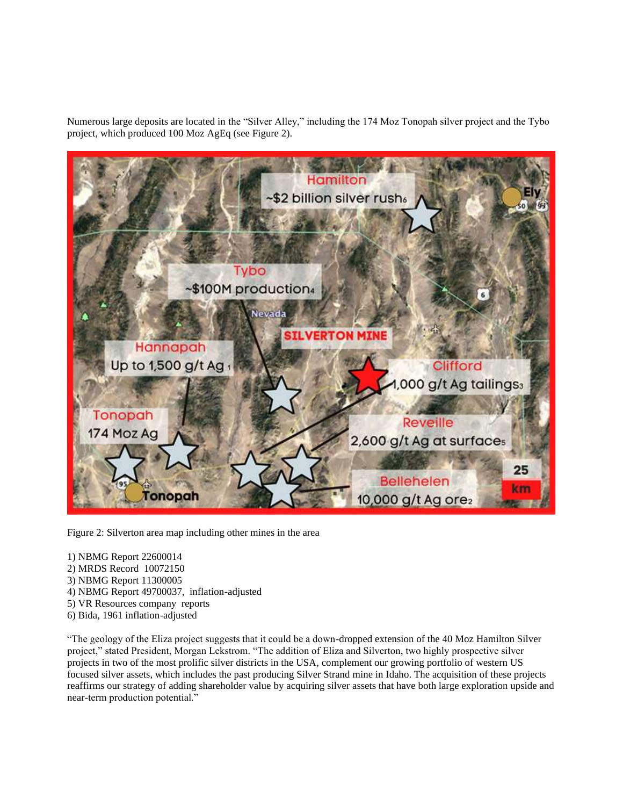Numerous large deposits are located in the "Silver Alley," including the 174 Moz Tonopah silver project and the Tybo project, which produced 100 Moz AgEq (see Figure 2).



Figure 2: Silverton area map including other mines in the area

- 1) NBMG Report 22600014
- 2) MRDS Record 10072150
- 3) NBMG Report 11300005
- 4) NBMG Report 49700037, inflation-adjusted
- 5) VR Resources company reports
- 6) Bida, 1961 inflation-adjusted

"The geology of the Eliza project suggests that it could be a down-dropped extension of the 40 Moz Hamilton Silver project," stated President, Morgan Lekstrom. "The addition of Eliza and Silverton, two highly prospective silver projects in two of the most prolific silver districts in the USA, complement our growing portfolio of western US focused silver assets, which includes the past producing Silver Strand mine in Idaho. The acquisition of these projects reaffirms our strategy of adding shareholder value by acquiring silver assets that have both large exploration upside and near-term production potential."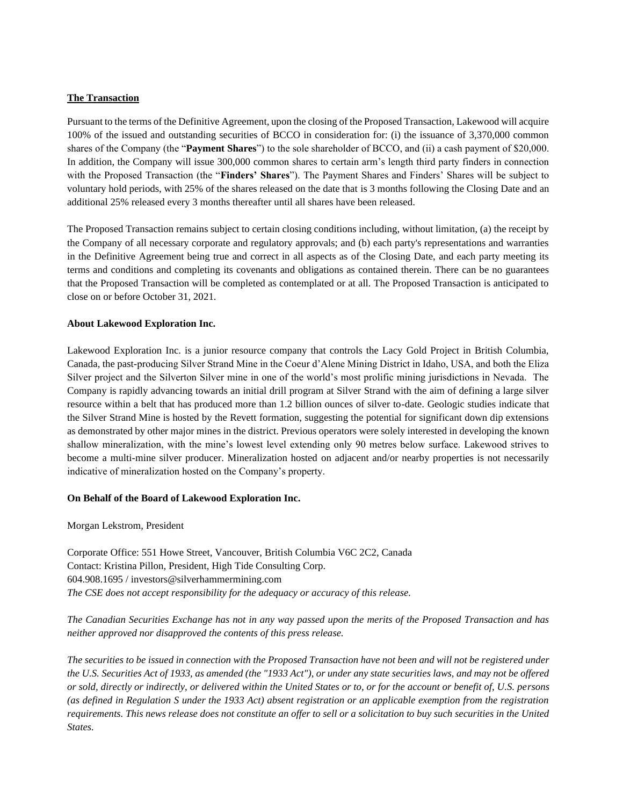### **The Transaction**

Pursuant to the terms of the Definitive Agreement, upon the closing of the Proposed Transaction, Lakewood will acquire 100% of the issued and outstanding securities of BCCO in consideration for: (i) the issuance of 3,370,000 common shares of the Company (the "**Payment Shares**") to the sole shareholder of BCCO, and (ii) a cash payment of \$20,000. In addition, the Company will issue 300,000 common shares to certain arm's length third party finders in connection with the Proposed Transaction (the "**Finders' Shares**"). The Payment Shares and Finders' Shares will be subject to voluntary hold periods, with 25% of the shares released on the date that is 3 months following the Closing Date and an additional 25% released every 3 months thereafter until all shares have been released.

The Proposed Transaction remains subject to certain closing conditions including, without limitation, (a) the receipt by the Company of all necessary corporate and regulatory approvals; and (b) each party's representations and warranties in the Definitive Agreement being true and correct in all aspects as of the Closing Date, and each party meeting its terms and conditions and completing its covenants and obligations as contained therein. There can be no guarantees that the Proposed Transaction will be completed as contemplated or at all. The Proposed Transaction is anticipated to close on or before October 31, 2021.

#### **About Lakewood Exploration Inc.**

Lakewood Exploration Inc. is a junior resource company that controls the Lacy Gold Project in British Columbia, Canada, the past-producing Silver Strand Mine in the Coeur d'Alene Mining District in Idaho, USA, and both the Eliza Silver project and the Silverton Silver mine in one of the world's most prolific mining jurisdictions in Nevada. The Company is rapidly advancing towards an initial drill program at Silver Strand with the aim of defining a large silver resource within a belt that has produced more than 1.2 billion ounces of silver to-date. Geologic studies indicate that the Silver Strand Mine is hosted by the Revett formation, suggesting the potential for significant down dip extensions as demonstrated by other major mines in the district. Previous operators were solely interested in developing the known shallow mineralization, with the mine's lowest level extending only 90 metres below surface. Lakewood strives to become a multi-mine silver producer. Mineralization hosted on adjacent and/or nearby properties is not necessarily indicative of mineralization hosted on the Company's property.

### **On Behalf of the Board of Lakewood Exploration Inc.**

Morgan Lekstrom, President

Corporate Office: 551 Howe Street, Vancouver, British Columbia V6C 2C2, Canada Contact: Kristina Pillon, President, High Tide Consulting Corp. 604.908.1695 / investors@silverhammermining.com *The CSE does not accept responsibility for the adequacy or accuracy of this release.*

*The Canadian Securities Exchange has not in any way passed upon the merits of the Proposed Transaction and has neither approved nor disapproved the contents of this press release.*

*The securities to be issued in connection with the Proposed Transaction have not been and will not be registered under the U.S. Securities Act of 1933, as amended (the "1933 Act"), or under any state securities laws, and may not be offered or sold, directly or indirectly, or delivered within the United States or to, or for the account or benefit of, U.S. persons (as defined in Regulation S under the 1933 Act) absent registration or an applicable exemption from the registration requirements. This news release does not constitute an offer to sell or a solicitation to buy such securities in the United States.*